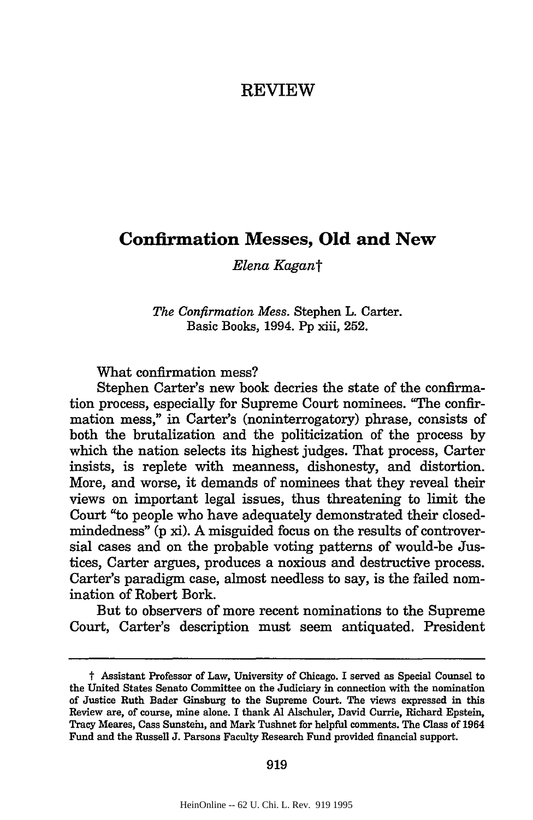## REVIEW

# **Confirmation Messes, Old and New**

*Elena Kagant*

*The Confirmation Mess.* Stephen L. Carter. Basic Books, 1994. Pp xiii, 252.

What confirmation mess?

Stephen Carter's new book decries the state of the confirmation process, especially for Supreme Court nominees. "The confirmation mess," in Carter's (noninterrogatory) phrase, consists of both the brutalization and the politicization of the process by which the nation selects its highest judges. That process, Carter insists, is replete with meanness, dishonesty, and distortion. More, and worse, it demands of nominees that they reveal their views on important legal issues, thus threatening to limit the Court "to people who have adequately demonstrated their closedmindedness" (p xi). A misguided focus on the results of controversial cases and on the probable voting patterns of would-be Justices, Carter argues, produces a noxious and destructive process. Carter's paradigm case, almost needless to say, is the failed nomination of Robert Bork.

But to observers of more recent nominations to the Supreme Court, Carter's description must seem antiquated. President

919

t Assistant Professor of Law, University of Chicago. I served as Special Counsel to the United States Senate Committee on the Judiciary in connection with the nomination of Justice Ruth Bader Ginsburg to the Supreme Court. The views expressed in this Review are, of course, mine alone. I thank **Al** Alschuler, David Currie, Richard Epstein, Tracy Meares, Cass Sunstein, and Mark Tushnet for helpful comments. The Class of 1964 Fund and the Russell **J.** Parsons Faculty Research Fund provided financial support.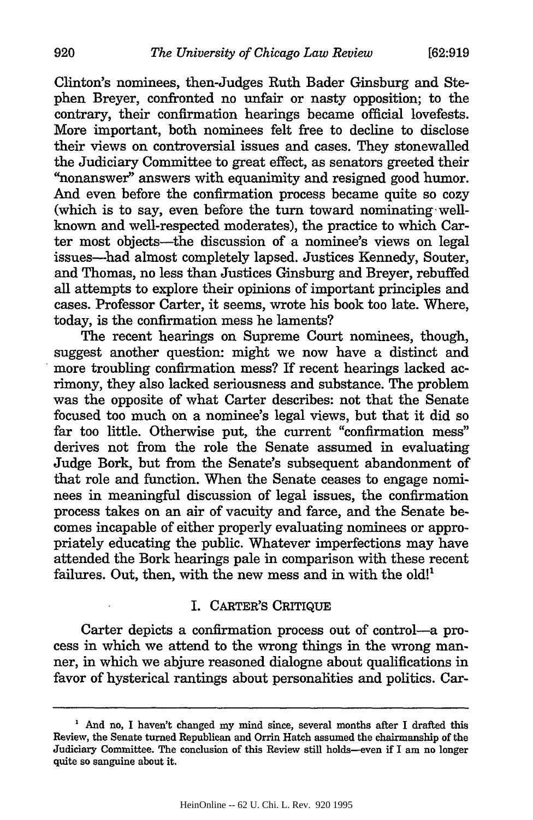Clinton's nominees, then-Judges Ruth Bader Ginsburg and Stephen Breyer, confronted no unfair or nasty opposition; to the contrary, their confirmation hearings became official lovefests. More important, both nominees felt free to decline to disclose their views on controversial issues and cases. They stonewalled the Judiciary Committee to great effect, as senators greeted their "nonanswer" answers with equanimity and resigned good humor. And even before the confirmation process became quite so cozy (which is to say, even before the turn toward nominating wellknown and well-respected moderates), the practice to which Carter most objects—the discussion of a nominee's views on legal issues-had almost completely lapsed. Justices Kennedy, Souter, and Thomas, no less than Justices Ginsburg and Breyer, rebuffed all attempts to explore their opinions of important principles and cases. Professor Carter, it seems, wrote his book too late. Where, today, is the confirmation mess he laments?

The recent hearings on Supreme Court nominees, though, suggest another question: might we now have a distinct and more troubling confirmation mess? If recent hearings lacked acrimony, they also lacked seriousness and substance. The problem was the opposite of what Carter describes: not that the Senate focused too much on a nominee's legal views, but that it did so far too little. Otherwise put, the current "confirmation mess" derives not from the role the Senate assumed in evaluating Judge Bork, but from the Senate's subsequent abandonment of that role and function. When the Senate ceases to engage nominees in meaningful discussion of legal issues, the confirmation process takes on an air of vacuity and farce, and the Senate becomes incapable of either properly evaluating nominees or appropriately educating the public. Whatever imperfections may have attended the Bork hearings pale in comparison with these recent failures. Out, then, with the new mess and in with the old!<sup>1</sup>

#### I. CARTER'S CRITIQUE

Carter depicts a confirmation process out of control-a process in which we attend to the wrong things in the wrong manner, in which we abjure reasoned dialogne about qualifications in favor of hysterical rantings about personalities and politics. Car-

**<sup>&#</sup>x27;** And no, I haven't changed my mind since, several months after I drafted this Review, the Senate turned Republican and Orrin Hatch assumed the chairmanship of the Judiciary Committee. The conclusion of this Review still holds--even if I am no longer quite so sanguine about it.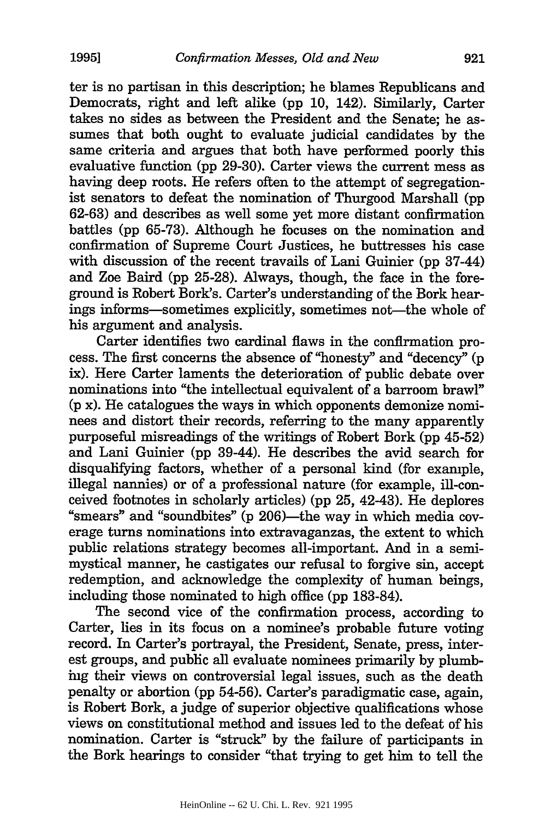ter is no partisan in this description; he blames Republicans and Democrats, right and left alike (pp 10, 142). Similarly, Carter takes no sides as between the President and the Senate; he assumes that both ought to evaluate judicial candidates by the same criteria and argues that both have performed poorly this evaluative function (pp 29-30). Carter views the current mess as having deep roots. He refers often to the attempt of segregationist senators to defeat the nomination of Thurgood Marshall (pp 62-63) and describes as well some yet more distant confirmation battles (pp 65-73). Although he focuses on the nomination and confirmation of Supreme Court Justices, he buttresses his case with discussion of the recent travails of Lani Guinier (pp 37-44) and Zoe Baird (pp 25-28). Always, though, the face in the foreground is Robert Bork's. Carter's understanding of the Bork hearings informs-sometimes explicitly, sometimes not-the whole of his argument and analysis.

Carter identifies two cardinal flaws in the confirmation process. The first concerns the absence of "honesty" and "decency" (p ix). Here Carter laments the deterioration of public debate over nominations into "the intellectual equivalent of a barroom brawl" (p x). He catalogues the ways in which opponents demonize nominees and distort their records, referring to the many apparently purposeful misreadings of the writings of Robert Bork (pp 45-52) and Lani Guinier (pp 39-44). He describes the avid search for disqualifying factors, whether of a personal kind (for example, illegal nannies) or of a professional nature (for example, ill-conceived footnotes in scholarly articles) (pp 25, 42-43). He deplores "smears" and "soundbites" (p 206)-the way in which media coverage turns nominations into extravaganzas, the extent to which public relations strategy becomes all-important. And in a semimystical manner, he castigates our refusal to forgive sin, accept redemption, and acknowledge the complexity of human beings, including those nominated to high office (pp 183-84).

The second vice of the confirmation process, according to Carter, lies in its focus on a nominee's probable future voting record. In Carter's portrayal, the President, Senate, press, interest groups, and public all evaluate nominees primarily by plumbing their views on controversial legal issues, such as the death penalty or abortion (pp 54-56). Carter's paradigmatic case, again, is Robert Bork, a judge of superior objective qualifications whose views on constitutional method and issues led to the defeat of his nomination. Carter is "struck" by the failure of participants in the Bork hearings to consider "that trying to get him to tell the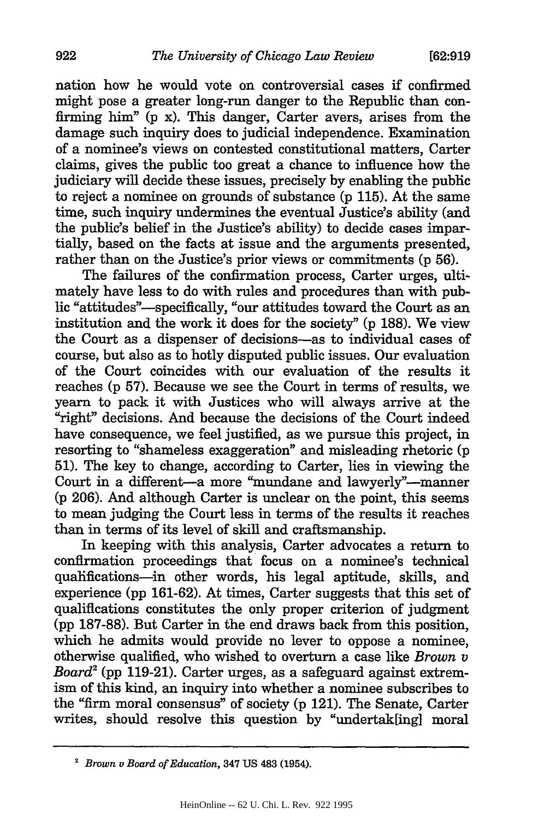nation how he would vote on controversial cases if confirmed might pose a greater long-run danger to the Republic than confirming him" (p x). This danger, Carter avers, arises from the damage such inquiry does to judicial independence. Examination of a nominee's views on contested constitutional matters, Carter claims, gives the public too great a chance to influence how the judiciary will decide these issues, precisely by enabling the public to reject a nominee on grounds of substance (p 115). At the same time, such inquiry undermines the eventual Justice's ability (and the public's belief in the Justice's ability) to decide cases impartially, based on the facts at issue and the arguments presented, rather than on the Justice's prior views or commitments (p 56).

The failures of the confirmation process, Carter urges, ultimately have less to do with rules and procedures than with public "attitudes"--specifically, "our attitudes toward the Court as an institution and the work it does for the society" (p 188). We view the Court as a dispenser of decisions-as to individual cases of course, but also as to hotly disputed public issues. Our evaluation of the Court coincides with our evaluation of the results it reaches (p 57). Because we see the Court in terms of results, we yearn to pack it with Justices who will always arrive at the "right" decisions. And because the decisions of the Court indeed have consequence, we feel justified, as we pursue this project, in resorting to "shameless exaggeration" and misleading rhetoric (p **51).** The key to change, according to Carter, lies in viewing the Court in a different-a more "mundane and lawyerly"-manner (p 206). And although Carter is unclear on the point, this seems to mean judging the Court less in terms of the results it reaches than in terms of its level of skill and craftsmanship.

In keeping with this analysis, Carter advocates a return to confirmation proceedings that focus on a nominee's technical qualifications-in other words, his legal aptitude, skills, and experience (pp 161-62). At times, Carter suggests that this set of qualifications constitutes the only proper criterion of judgment (pp 187-88). But Carter in the end draws back from this position, which he admits would provide no lever to oppose a nominee, otherwise qualified, who wished to overturn a case like *Brown v Board2* (pp 119-21). Carter urges, as a safeguard against extremism of this kind, an inquiry into whether a nominee subscribes to the "firm moral consensus" of society (p 121). The Senate, Carter writes, should resolve this question by "undertak[ing] moral

922

<sup>2</sup>*Brown v Board of Education,* 347 **US 483 (1954).**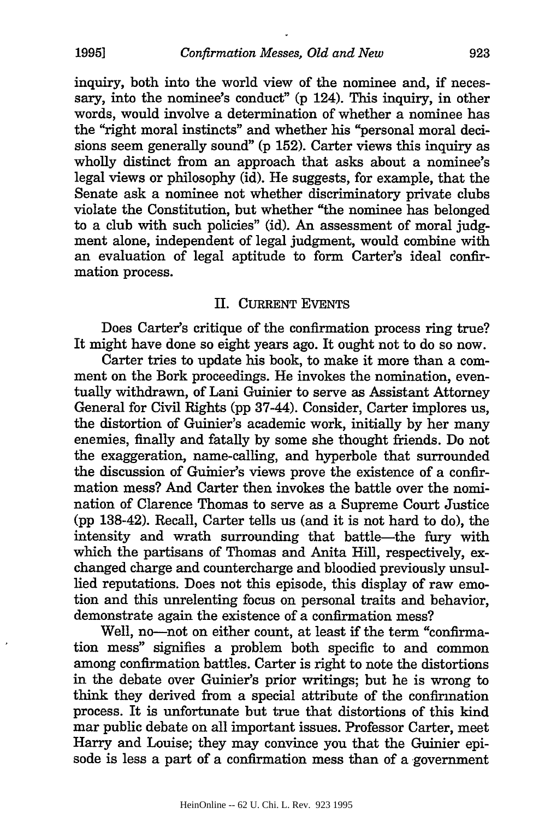inquiry, both into the world view of the nominee and, if necessary, into the nominee's conduct" (p 124). This inquiry, in other words, would involve a determination of whether a nominee has the "right moral instincts" and whether his "personal moral decisions seem generally sound" (p 152). Carter views this inquiry as wholly distinct from an approach that asks about a nominee's legal views or philosophy (id). He suggests, for example, that the Senate ask a nominee not whether discriminatory private clubs violate the Constitution, but whether "the nominee has belonged to a club with such policies" (id). An assessment of moral judgment alone, independent of legal judgment, would combine with an evaluation of legal aptitude to form Carter's ideal confirmation process.

#### II. CURRENT EVENTS

Does Carter's critique of the confirmation process ring true? It might have done so eight years ago. It ought not to do so now.

Carter tries to update his book, to make it more than a comment on the Bork proceedings. He invokes the nomination, eventually withdrawn, of Lani Guinier to serve as Assistant Attorney General for Civil Rights (pp 37-44). Consider, Carter implores us, the distortion of Guinier's academic work, initially by her many enemies, finally and fatally by some she thought friends. Do not the exaggeration, name-calling, and hyperbole that surrounded the discussion of Guinier's views prove the existence of a confirmation mess? And Carter then invokes the battle over the nomination of Clarence Thomas to serve as a Supreme Court Justice (pp 138-42). Recall, Carter tells us (and it is not hard to do), the intensity and wrath surrounding that battle-the fury with which the partisans of Thomas and Anita Hill, respectively, exchanged charge and countercharge and bloodied previously unsullied reputations. Does not this episode, this display of raw emotion and this unrelenting focus on personal traits and behavior, demonstrate again the existence of a confirmation mess?

Well, no-not on either count, at least if the term "confirmation mess" signifies a problem both specific to and common among confirmation battles. Carter is right to note the distortions in the debate over Guinier's prior writings; but he is wrong to think they derived from a special attribute of the confirmation process. It is unfortunate but true that distortions of this kind mar public debate on all important issues. Professor Carter, meet Harry and Louise; they may convince you that the Guinier episode is less a part of a confirmation mess than of a government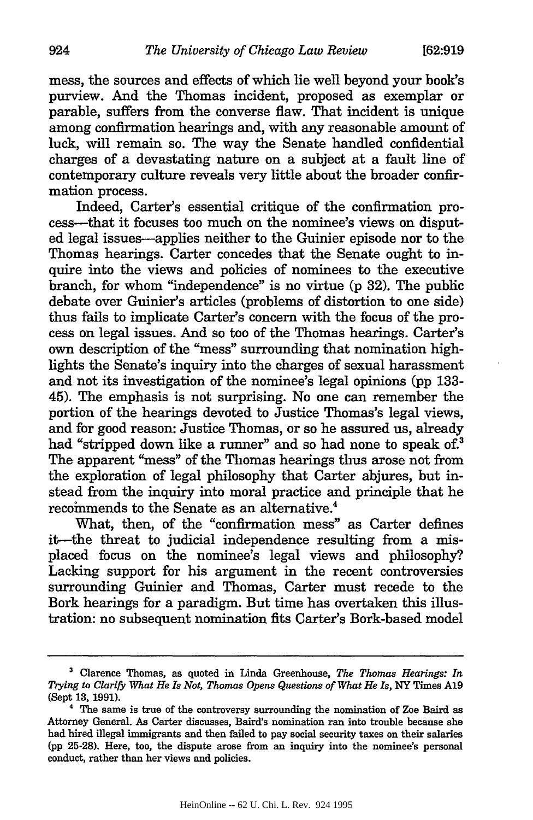mess, the sources and effects of which lie well beyond your book's purview. And the Thomas incident, proposed as exemplar or parable, suffers from the converse flaw. That incident is unique among confirmation hearings and, with any reasonable amount of luck, will remain so. The way the Senate handled confidential charges of a devastating nature on a subject at a fault line of contemporary culture reveals very little about the broader confirmation process.

Indeed, Carter's essential critique of the confirmation process-that it focuses too much on the nominee's views on disputed legal issues-applies neither to the Guinier episode nor to the Thomas hearings. Carter concedes that the Senate ought to inquire into the views and policies of nominees to the executive branch, for whom "independence" is no virtue (p 32). The public debate over Guinier's articles (problems of distortion to one side) thus fails to implicate Carter's concern with the focus of the process on legal issues. And so too of the Thomas hearings. Carter's own description of the "mess" surrounding that nomination highlights the Senate's inquiry into the charges of sexual harassment and not its investigation of the nominee's legal opinions (pp 133- 45). The emphasis is not surprising. No one can remember the portion of the hearings devoted to Justice Thomas's legal views, and for good reason: Justice Thomas, or so he assured us, already had "stripped down like a runner" and so had none to speak of.<sup>3</sup> The apparent "mess" of the Thomas hearings thus arose not from the exploration of legal philosophy that Carter abjures, but instead from the inquiry into moral practice and principle that he recommends to the Senate as an alternative.<sup>4</sup>

What, then, of the "confirmation mess" as Carter defines it-the threat to judicial independence resulting from a misplaced focus on the nominee's legal views and philosophy? Lacking support for his argument in the recent controversies surrounding Guinier and Thomas, Carter must recede to the Bork hearings for a paradigm. But time has overtaken this illustration: no subsequent nomination fits Carter's Bork-based model

**<sup>&#</sup>x27;** Clarence Thomas, as quoted in Linda Greenhouse, *The Thomas Hearings: In Trying to Clarify What He Is Not, Thomas Opens Questions of What He Is,* NY Times **A19** (Sept **13,** 1991).

**<sup>4</sup>** The same is true of the controversy surrounding the nomination of Zoe Baird as Attorney General. As Carter discusses, Baird's nomination ran into trouble because she had hired illegal immigrants and then failed to pay social security taxes on their salaries (pp 25-28). Here, too, the dispute arose from an inquiry into the nominee's personal conduct, rather than her views and policies.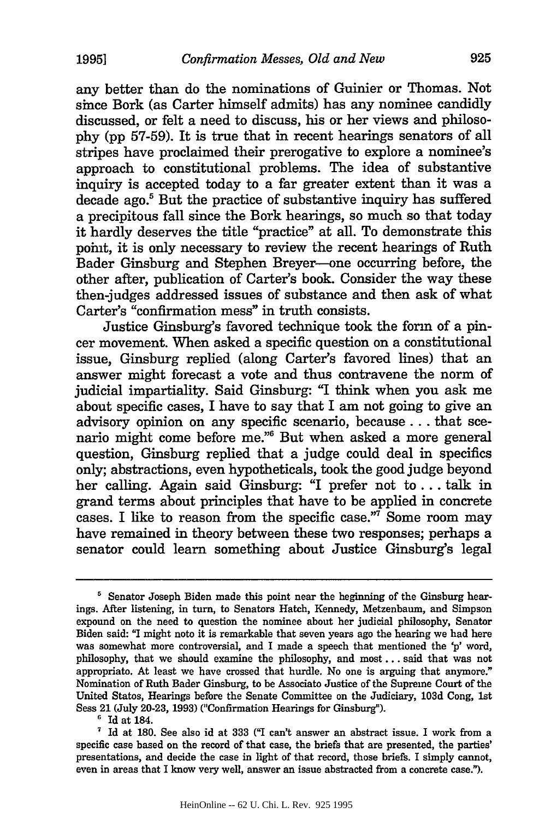any better than do the nominations of Guinier or Thomas. Not since Bork (as Carter himself admits) has any nominee candidly discussed, or felt a need to discuss, his or her views and philosophy (pp 57-59). It is true that in recent hearings senators of all stripes have proclaimed their prerogative to explore a nominee's approach to constitutional problems. The idea of substantive inquiry is accepted today to a far greater extent than it was a decade ago.<sup>5</sup> But the practice of substantive inquiry has suffered a precipitous fall since the Bork hearings, so much so that today it hardly deserves the title "practice" at all. To demonstrate this point, it is only necessary to review the recent hearings of Ruth Bader Ginsburg and Stephen Breyer-one occurring before, the other after, publication of Carter's book. Consider the way these then-judges addressed issues of substance and then ask of what Carter's "confirmation mess" in truth consists.

Justice Ginsburg's favored technique took the form of a pincer movement. When asked a specific question on a constitutional issue, Ginsburg replied (along Carter's favored lines) that an answer might forecast a vote and thus contravene the norm of judicial impartiality. Said Ginsburg: "I think when you ask me about specific cases, I have to say that I am not going to give an advisory opinion on any specific scenario, because.., that scenario might come before me."6 But when asked a more general question, Ginsburg replied that a judge could deal in specifics only; abstractions, even hypotheticals, took the good judge beyond her calling. Again said Ginsburg: "I prefer not to... talk in grand terms about principles that have to be applied in concrete cases. I like to reason from the specific case."7 Some room may have remained in theory between these two responses; perhaps a senator could learn something about Justice Ginsburg's legal

**<sup>&#</sup>x27;** Senator Joseph Biden made this point near the beginning of the Ginsburg hearings. After listening, in turn, to Senators Hatch, Kennedy, Metzenbaum, and Simpson expound on the need to question the nominee about her judicial philosophy, Senator Biden said: "I might note it is remarkable that seven years ago the hearing we had here was somewhat more controversial, and I made a speech that mentioned the 'p' word, philosophy, that we should examine the philosophy, and most... said that was not appropriate. At least we have crossed that hurdle. No one is arguing that anymore." Nomination of Ruth Bader Ginsburg, to be Associate Justice of the Supreme Court of the United States, Hearings before the Senate Committee on the Judiciary, 103d Cong, 1st Sess 21 (July **20-23, 1993)** ("Confirmation Hearings for Ginsburg").

**<sup>6</sup>**Id at 184.

**<sup>&#</sup>x27;** Id at **180.** See also id at **333 ("I** can't answer an abstract issue. I work from a specific case based on the record of that case, the briefs that are presented, the parties' presentations, and decide the case in light of that record, those briefs. I simply cannot, even in areas that **I** know very well, answer an issue abstracted from a concrete case.").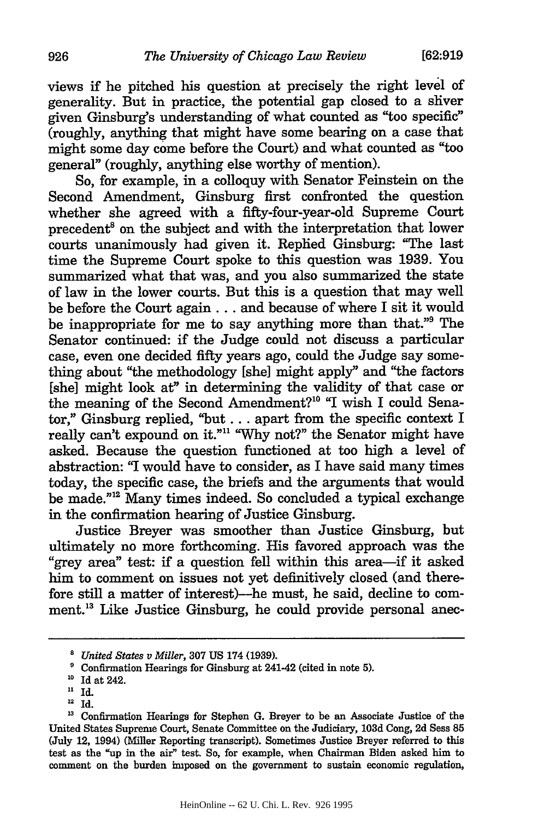views if he pitched his question at precisely the right level of generality. But in practice, the potential gap closed to a sliver given Ginsburg's understanding of what counted as "too specific" (roughly, anything that might have some bearing on a case that might some day come before the Court) and what counted as "too general" (roughly, anything else worthy of mention).

So, for example, in a colloquy with Senator Feinstein on the Second Amendment, Ginsburg first confronted the question whether she agreed with a fifty-four-year-old Supreme Court precedent<sup>8</sup> on the subject and with the interpretation that lower courts unanimously had given it. Replied Ginsburg: "The last time the Supreme Court spoke to this question was 1939. You summarized what that was, and you also summarized the state of law in the lower courts. But this is a question that may well be before the Court again... and because of where I sit it would be inappropriate for me to say anything more than that."9 The Senator continued: if the Judge could not discuss a particular case, even one decided **fifty** years ago, could the Judge say something about "the methodology [she] might apply" and "the factors [she] might look at" in determining the validity of that case or the meaning of the Second Amendment?" "I wish I could Senator," Ginsburg replied, "but **...** apart from the specific context I really can't expound on it."<sup>11</sup> "Why not?" the Senator might have asked. Because the question functioned at too high a level of abstraction: "I would have to consider, as I have said many times today, the specific case, the briefs and the arguments that would be made."<sup>12</sup> Many times indeed. So concluded a typical exchange in the confirmation hearing of Justice Ginsburg.

Justice Breyer was smoother than Justice Ginsburg, but ultimately no more forthcoming. His favored approach was the "grey area" test: if a question fell within this area-if it asked him to comment on issues not yet definitively closed (and therefore still a matter of interest)--he must, he said, decline to comment.<sup>13</sup> Like Justice Ginsburg, he could provide personal anec-

*<sup>8</sup> United States v Miller,* 307 US 174 (1939).

Confirmation Hearings for Ginsburg at 241-42 (cited in note **5). "** Id at 242.

<sup>&</sup>lt;sup>11</sup> Id.

 $12$  Id.

<sup>&</sup>lt;sup>13</sup> Confirmation Hearings for Stephen G. Breyer to be an Associate Justice of the United States Supreme Court, Senate Committee on the Judiciary, 103d Cong, 2d Sess **85** (July 12, 1994) (Miller Reporting transcript). Sometimes Justice Breyer referred to this test as the "up in the air" test. So, for example, when Chairman Biden asked him to comment on the burden imposed on the government to sustain economic regulation,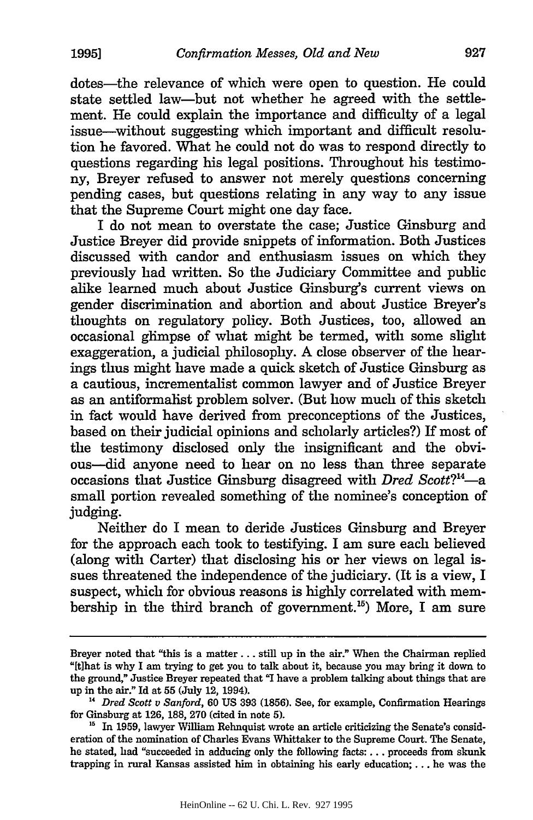dotes—the relevance of which were open to question. He could state settled law-but not whether he agreed with the settlement. He could explain the importance and difficulty of a legal issue-without suggesting which important and difficult resolution he favored. What he could not do was to respond directly to questions regarding his legal positions. Throughout his testimony, Breyer refused to answer not merely questions concerning pending cases, but questions relating in any way to any issue that the Supreme Court might one day face.

I do not mean to overstate the case; Justice Ginsburg and Justice Breyer did provide snippets of information. Both Justices discussed with candor and enthusiasm issues on which they previously had written. So the Judiciary Committee and public alike learned much about Justice Ginsburg's current views on gender discrimination and abortion and about Justice Breyer's thoughts on regulatory policy. Both Justices, too, allowed an occasional glimpse of what might be termed, with some slight exaggeration, a judicial philosophy. A close observer of the hearings thus might have made a quick sketch of Justice Ginsburg as a cautious, incrementalist common lawyer and of Justice Breyer as an antiformalist problem solver. (But how much of this sketch in fact would have derived from preconceptions of the Justices, based on their judicial opinions and scholarly articles?) If most of the testimony disclosed only the insignificant and the obvious--did anyone need to hear on no less than three separate occasions that Justice Ginsburg disagreed with *Dred Scott*?<sup>14</sup>small portion revealed something of the nominee's conception of judging.

Neither do I mean to deride Justices Ginsburg and Breyer for the approach each took to testifying. I am sure each believed (along with Carter) that disclosing his or her views on legal issues threatened the independence of the judiciary. (It is a view, I suspect, which for obvious reasons is highly correlated with membership in the third branch of government.<sup>15</sup>) More, I am sure

Breyer noted that "this is a matter... still up in the air." When the Chairman replied "[t]hat is why I am trying to get you to talk about it, because you may bring it down to the ground," Justice Breyer repeated that "I have a problem talking about things that are up in the air." Id at **55** (July 12, 1994).

**<sup>&</sup>quot;** *Dred Scott v Sanford,* 60 US 393 (1856). See, for example, Confirmation Hearings for Ginsburg at 126, 188, 270 (cited in note 5).

<sup>&</sup>lt;sup>15</sup> In 1959, lawyer William Rehnquist wrote an article criticizing the Senate's consideration of the nomination of Charles Evans Whittaker to the Supreme Court. The Senate, he stated, had "succeeded in adducing only the following facts:... proceeds from skunk trapping in rural Kansas assisted him in obtaining his early education;... he was the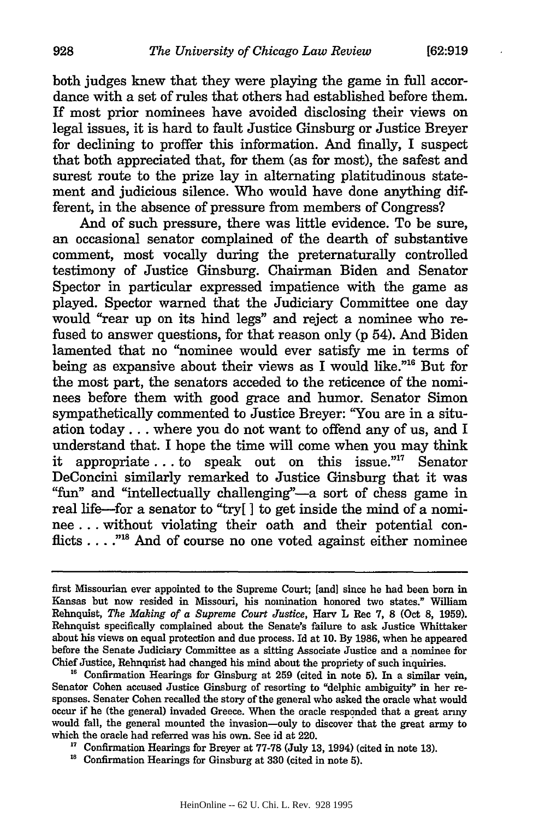both judges knew that they were playing the game in full accordance with a set of rules that others had established before them. If most prior nominees have avoided disclosing their views on legal issues, it is hard to fault Justice Ginsburg or Justice Breyer for declining to proffer this information. And finally, I suspect that both appreciated that, for them (as for most), the safest and surest route to the prize lay in alternating platitudinous statement and judicious silence. Who would have done anything different, in the absence of pressure from members of Congress?

And of such pressure, there was little evidence. To be sure, an occasional senator complained of the dearth of substantive comment, most vocally during the preternaturally controlled testimony of Justice Ginsburg. Chairman Biden and Senator Spector in particular expressed impatience with the game as played. Spector warned that the Judiciary Committee one day would "rear up on its hind legs" and reject a nominee who refused to answer questions, for that reason only (p 54). And Biden lamented that no "nominee would ever satisfy me in terms of being as expansive about their views as I would like."<sup>16</sup> But for the most part, the senators acceded to the reticence of the nominees before them with good grace and humor. Senator Simon sympathetically commented to Justice Breyer: "You are in a situation today.., where you do not want to offend any of us, and I understand that. I hope the time will come when you may think it appropriate... to speak out on this issue."" Senator DeConcini similarly remarked to Justice Ginsburg that it was **"fim"** and "intellectually challenging"-a sort of chess game in real life-for a senator to "try[ **I** to get inside the mind of a nominee... without violating their oath and their potential conflicts. . **. .""** And of course no one voted against either nominee

first Missourian ever appointed to the Supreme Court; [and] since he had been born in Kansas but now resided in Missouri, his nomination honored two states." William Rehnquist, *The Making of a Supreme Court Justice,* Harv L Rec 7, **8** (Oct 8, 1959). Rehnquist specifically complained about the Senate's failure to ask Justice Whittaker about his views on equal protection and due process. Id at 10. By **1986,** when he appeared before the Senate Judiciary Committee as a sitting Associate Justice and a nominee for Chief Justice, Rehnquist had changed his mind about the propriety of such inquiries.

<sup>&</sup>lt;sup>16</sup> Confirmation Hearings for Ginsburg at 259 (cited in note 5). In a similar vein, Senator Cohen accused Justice Ginsburg of resorting to "delphic ambiguity" in her responses. Senater Cohen recalled the story of the general who asked the oracle what would occur if he (the general) invaded Greece. When the oracle responded that a great army would fall, the general mounted the invasion-only to discover that the great army to which the oracle had referred was his own. See id at 220.

<sup>&</sup>lt;sup>17</sup> Confirmation Hearings for Breyer at 77-78 (July 13, 1994) (cited in note 13).<br><sup>18</sup> Confirmation Hearings for Ginsburg at 330 (cited in note 5).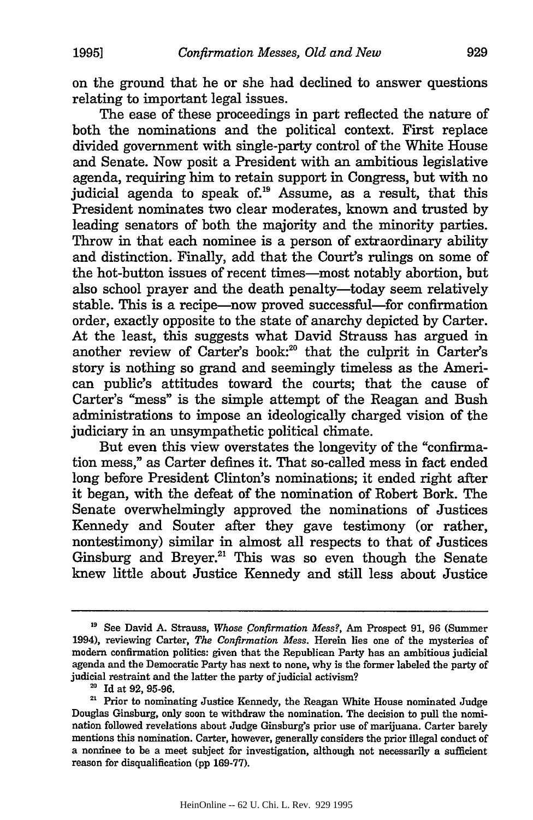on the ground that he or she had declined to answer questions relating to important legal issues.

The ease of these proceedings in part reflected the nature of both the nominations and the political context. First replace divided government with single-party control of the White House and Senate. Now posit a President with an ambitious legislative agenda, requiring him to retain support in Congress, but with no judicial agenda to speak of.<sup>19</sup> Assume, as a result, that this President nominates two clear moderates, known and trusted by leading senators of both the majority and the minority parties. Throw in that each nominee is a person of extraordinary ability and distinction. Finally, add that the Court's rulings on some of the hot-button issues of recent times-most notably abortion, but also school prayer and the death penalty-today seem relatively stable. This is a recipe—now proved successful—for confirmation order, exactly opposite to the state of anarchy depicted by Carter. At the least, this suggests what David Strauss has argued in another review of Carter's book:<sup>20</sup> that the culprit in Carter's story is nothing so grand and seemingly timeless as the American public's attitudes toward the courts; that the cause of Carter's "mess" is the simple attempt of the Reagan and Bush administrations to impose an ideologically charged vision of the judiciary in an unsympathetic political chimate.

But even this view overstates the longevity of the "confirmation mess," as Carter defines it. That so-called mess in fact ended long before President Clinton's nominations; it ended right after it began, with the defeat of the nomination of Robert Bork. The Senate overwhelmingly approved the nominations of Justices Kennedy and Souter after they gave testimony (or rather, nontestimony) similar in almost all respects to that of Justices Ginsburg and Breyer.<sup>21</sup> This was so even though the Senate knew little about Justice Kennedy and still less about Justice

**<sup>19</sup>** See David A. Strauss, *Whose Confirmation Mess?, Am* Prospect **91, 96** (Summer 1994), reviewing Carter, *The Confirmation Mess.* Herein lies one of the mysteries of modern confirmation politics: given that the Republican Party has an ambitious judicial agenda and the Democratic Party has next to none, why is the former labeled the party of judicial restraint and the latter the party of judicial activism?

<sup>&</sup>lt;sup>20</sup> Id at 92, 95-96.

<sup>&</sup>lt;sup>21</sup> Prior to nominating Justice Kennedy, the Reagan White House nominated Judge Douglas Ginsburg, only soon to withdraw the nomination. The decision to pull the nomination followed revelations about Judge Ginsburg's prior use of marijuana. Carter barely mentions this nomination. Carter, however, generally considers the prior illegal conduct of a nominee to be a meet subject for investigation, although not necessarily a sufficient reason for disqualification **(pp** 169-77).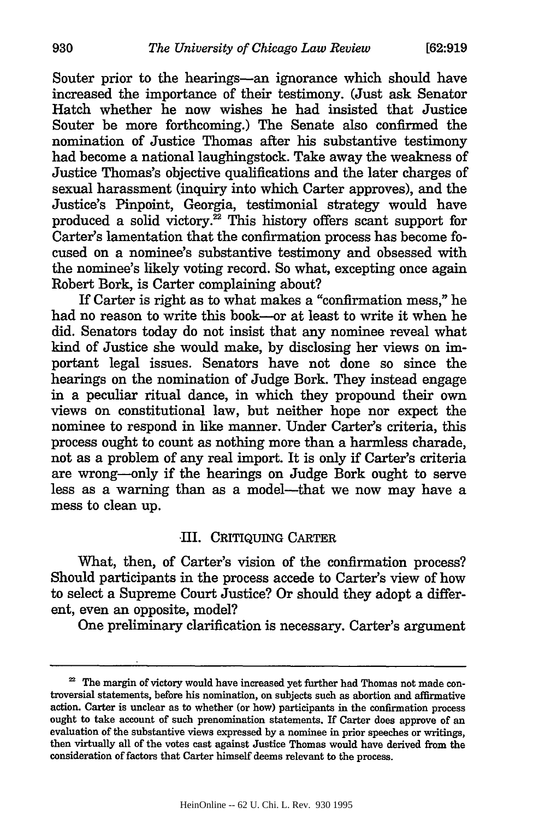Souter prior to the hearings-an ignorance which should have increased the importance of their testimony. (Just ask Senator Hatch whether he now wishes he had insisted that Justice Souter be more forthcoming.) The Senate also confirmed the nomination of Justice Thomas after his substantive testimony had become a national laughingstock. Take away the weakness of Justice Thomas's objective qualifications and the later charges of sexual harassment (inquiry into which Carter approves), and the Justice's Pinpoint, Georgia, testimonial strategy would have produced a solid victory. $^{22}$  This history offers scant support for Carter's lamentation that the confirmation process has become focused on a nominee's substantive testimony and obsessed with the nominee's likely voting record. So what, excepting once again Robert Bork, is Carter complaining about?

If Carter is right as to what makes a "confirmation mess," he had no reason to write this book-or at least to write it when he did. Senators today do not insist that any nominee reveal what kind of Justice she would make, by disclosing her views on important legal issues. Senators have not done so since the hearings on the nomination of Judge Bork. They instead engage in a peculiar ritual dance, in which they propound their own views on constitutional law, but neither hope nor expect the nominee to respond in like manner. Under Carter's criteria, this process ought to count as nothing more than a harmless charade, not as a problem of any real import. It is only if Carter's criteria are wrong-only if the hearings on Judge Bork ought to serve less as a warning than as a model-that we now may have a mess to clean up.

### III. CRITIQUING CARTER

What, then, of Carter's vision of the confirmation process? Should participants in the process accede to Carter's view of how to select a Supreme Court Justice? Or should they adopt a different, even an opposite, model?

One preliminary clarification is necessary. Carter's argument

<sup>&</sup>lt;sup>22</sup> The margin of victory would have increased yet further had Thomas not made controversial statements, before his nomination, on subjects such as abortion and affirmative action. Carter is unclear as to whether (or how) participants in the confirmation process ought to take account of such prenomination statements. If Carter does approve of an evaluation of the substantive views expressed by a nominee in prior speeches or writings, then virtually all of the votes cast against Justice Thomas would have derived from the consideration of factors that Carter himself deems relevant to the process.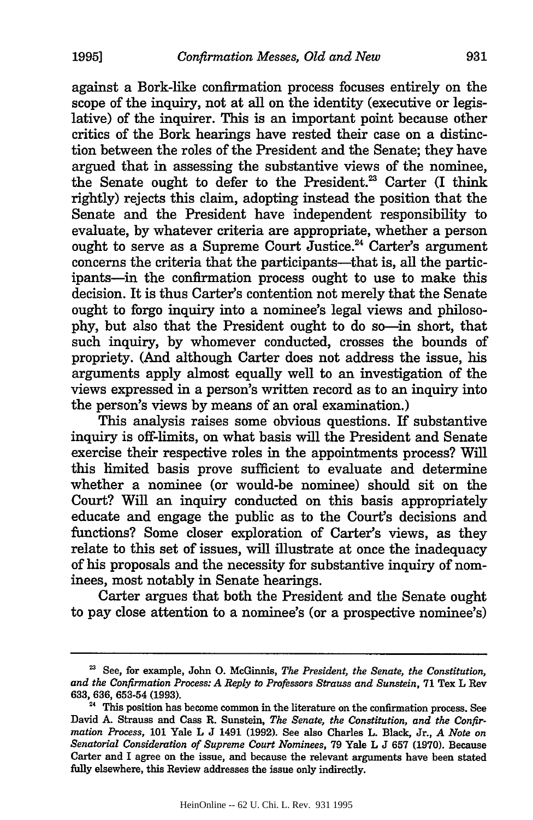against a Bork-like confirmation process focuses entirely on the scope of the inquiry, not at all on the identity (executive or legislative) of the inquirer. This is an important point because other critics of the Bork hearings have rested their case on a distinction between the roles of the President and the Senate; they have argued that in assessing the substantive views of the nominee, the Senate ought to defer to the President.<sup>23</sup> Carter (I think rightly) rejects this claim, adopting instead the position that the Senate and the President have independent responsibility to evaluate, by whatever criteria are appropriate, whether a person ought to serve as a Supreme Court Justice.<sup>24</sup> Carter's argument concerns the criteria that the participants-that is, all the participants-in the confirmation process ought to use to make this decision. It is thus Carter's contention not merely that the Senate ought to forgo inquiry into a nominee's legal views and philosophy, but also that the President ought to do so-in short, that such inquiry, by whomever conducted, crosses the bounds of propriety. (And although Carter does not address the issue, his arguments apply almost equally well to an investigation of the views expressed in a person's written record as to an inquiry into the person's views by means of an oral examination.)

This analysis raises some obvious questions. If substantive inquiry is off-limits, on what basis will the President and Senate exercise their respective roles in the appointments process? Will this limited basis prove sufficient to evaluate and determine whether a nominee (or would-be nominee) should sit on the Court? Will an inquiry conducted on this basis appropriately educate and engage the public as to the Court's decisions and functions? Some closer exploration of Carter's views, as they relate to this set of issues, will illustrate at once the inadequacy of his proposals and the necessity for substantive inquiry of nominees, most notably in Senate hearings.

Carter argues that both the President and the Senate ought to pay close attention to a nominee's (or a prospective nominee's)

<sup>&</sup>lt;sup>23</sup> See, for example, John O. McGinnis, *The President, the Senate, the Constitution*, *and the Confirmation Process: A Reply to Professors Strauss and Sunstein,* 71 Tex L Rev 633, 636, 653-54 (1993).

<sup>&</sup>lt;sup>24</sup> This position has become common in the literature on the confirmation process. See David **A.** Strauss and Cass R. Sunstein, *The Senate, the Constitution, and the Confirmation Process,* 101 Yale L J 1491 (1992). See also Charles L. Black, Jr., *A Note on Senatorial Consideration of Supreme Court Nominees,* 79 Yale L J 657 (1970). Because Carter and I agree on the issue, and because the relevant arguments have been stated fully elsewhere, this Review addresses the issue only indirectly.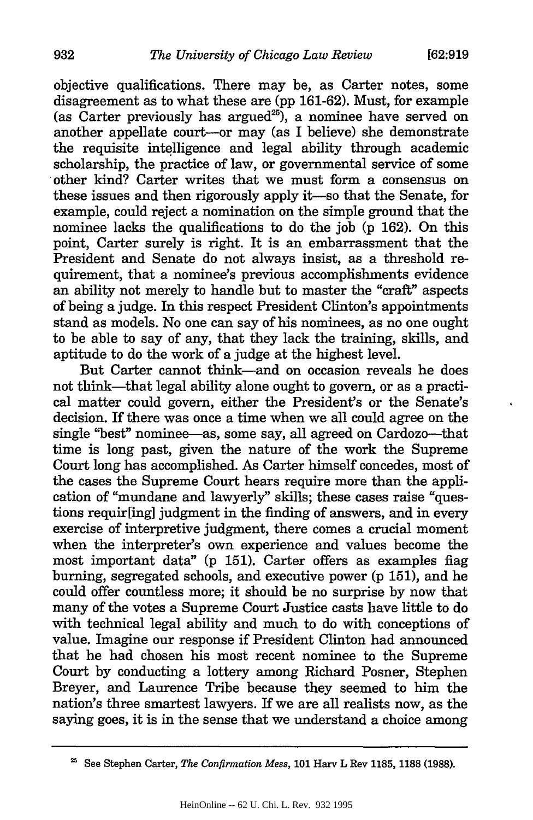objective qualifications. There may be, as Carter notes, some disagreement as to what these are (pp 161-62). Must, for example (as Carter previously has argued<sup>25</sup>), a nominee have served on another appellate court-or may (as I believe) she demonstrate the requisite intelligence and legal ability through academic scholarship, the practice of law, or governmental service of some other kind? Carter writes that we must form a consensus on these issues and then rigorously apply it-so that the Senate, for example, could reject a nomination on the simple ground that the nominee lacks the qualifications to do the job (p 162). On this point, Carter surely is right. It is an embarrassment that the President and Senate do not always insist, as a threshold requirement, that a nominee's previous accomplishments evidence an ability not merely to handle but to master the "craft" aspects of being a judge. In this respect President Clinton's appointments stand as models. No one can say of his nominees, as no one ought to be able to say of any, that they lack the training, skills, and aptitude to do the work of a judge at the highest level.

But Carter cannot think-and on occasion reveals he does not think-that legal ability alone ought to govern, or as a practical matter could govern, either the President's or the Senate's decision. If there was once a time when we all could agree on the single "best" nominee—as, some say, all agreed on Cardozo—that time is long past, given the nature of the work the Supreme Court long has accomplished. As Carter himself concedes, most of the cases the Supreme Court hears require more than the application of "mundane and lawyerly" skills; these cases raise "questions requir[ing] judgment in the finding of answers, and in every exercise of interpretive judgment, there comes a crucial moment when the interpreter's own experience and values become the most important data" (p 151). Carter offers as examples fiag burning, segregated schools, and executive power (p 151), and he could offer countless more; it should be no surprise by now that many of the votes a Supreme Court Justice casts have little to do with technical legal ability and much to do with conceptions of value. Imagine our response if President Clinton had announced that he had chosen his most recent nominee to the Supreme Court by conducting a lottery among Richard Posner, Stephen Breyer, and Laurence Tribe because they seemed to him the nation's three smartest lawyers. If we are all realists now, as the saying goes, it is in the sense that we understand a choice among

See Stephen Carter, *The Confirmation Mess,* **101** Harv L Rev **1185, 1188 (1988).**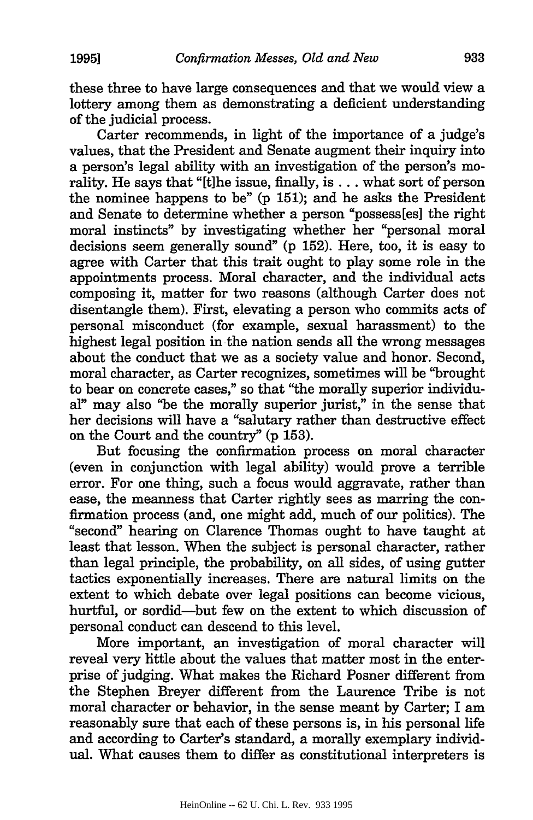these three to have large consequences and that we would view a lottery among them as demonstrating a deficient understanding of the judicial process.

Carter recommends, in light of the importance of a judge's values, that the President and Senate augment their inquiry into a person's legal ability with an investigation of the person's morality. He says that "[tihe issue, finally, is... what sort of person the nominee happens to be" (p 151); and he asks the President and Senate to determine whether a person "possess[es] the right moral instincts" by investigating whether her "personal moral decisions seem generally sound" (p 152). Here, too, it is easy to agree with Carter that this trait ought to play some role in the appointments process. Moral character, and the individual acts composing it, matter for two reasons (although Carter does not disentangle them). First, elevating a person who commits acts of personal misconduct (for example, sexual harassment) to the highest legal position in the nation sends all the wrong messages about the conduct that we as a society value and honor. Second, moral character, as Carter recognizes, sometimes will be "brought to bear on concrete cases," so that "the morally superior individual" may also "be the morally superior jurist," in the sense that her decisions will have a "salutary rather than destructive effect on the Court and the country" **(p 153).**

But focusing the confirmation process on moral character (even in conjunction with legal ability) would prove a terrible error. For one thing, such a focus would aggravate, rather than ease, the meanness that Carter rightly sees as marring the confirmation process (and, one might add, much of our politics). The "second" hearing on Clarence Thomas ought to have taught at least that lesson. When the subject is personal character, rather than legal principle, the probability, on all sides, of using gutter tactics exponentially increases. There are natural limits on the extent to which debate over legal positions can become vicious, hurtful, or sordid—but few on the extent to which discussion of personal conduct can descend to this level.

More important, an investigation of moral character will reveal very little about the values that matter most in the enterprise of judging. What makes the Richard Posner different from the Stephen Breyer different from the Laurence Tribe is not moral character or behavior, in the sense meant by Carter; I am reasonably sure that each of these persons is, in his personal life and according to Carter's standard, a morally exemplary individual. What causes them to differ as constitutional interpreters is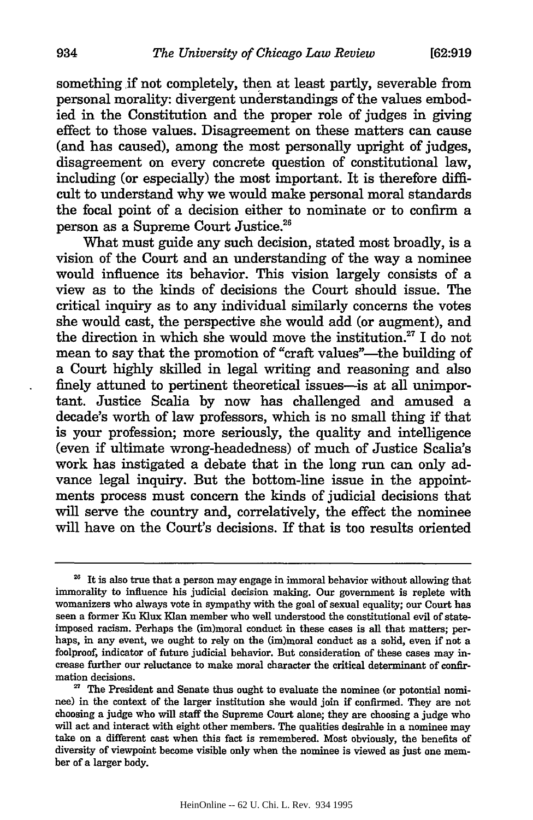something if not completely, then at least partly, severable from personal morality: divergent understandings of the values embodied in the Constitution and the proper role of judges in giving effect to those values. Disagreement on these matters can cause (and has caused), among the most personally upright of judges, disagreement on every concrete question of constitutional law, including (or especially) the most important. It is therefore difficult to understand why we would make personal moral standards the focal point of a decision either to nominate or to confirm a person as a Supreme Court Justice."

What must guide any such decision, stated most broadly, is a vision of the Court and an understanding of the way a nominee would influence its behavior. This vision largely consists of a view as to the kinds of decisions the Court should issue. The critical inquiry as to any individual similarly concerns the votes she would cast, the perspective she would add (or augment), and the direction in which she would move the institution." I do not mean to say that the promotion of "craft values"-the building of a Court highly skilled in legal writing and reasoning and also finely attuned to pertinent theoretical issues—is at all unimportant. Justice Scalia by now has challenged and amused a decade's worth of law professors, which is no small thing if that is your profession; more seriously, the quality and intelligence (even if ultimate wrong-headedness) of much of Justice Scalia's work has instigated a debate that in the long run can only advance legal inquiry. But the bottom-line issue in the appointments process must concern the kinds of judicial decisions that will serve the country and, correlatively, the effect the nominee will have on the Court's decisions. If that is too results oriented

<sup>&</sup>lt;sup>26</sup> It is also true that a person may engage in immoral behavior without allowing that immorality to influence his judicial decision making. Our government is replete with womanizers who always vote in sympathy with the goal of sexual equality; our Court has seen a former Ku Klux **Klan** member who well understood the constitutional evil of stateimposed racism. Perhaps the (im)moral conduct in these cases is all that matters; perhaps, in any event, we ought to rely on the (im)moral conduct as a solid, even if not a foolproof, indicator of future judicial behavior. But consideration of these cases may increase further our reluctance to make moral character the critical determinant of confirmation decisions.

<sup>&</sup>lt;sup>27</sup> The President and Senate thus ought to evaluate the nominee (or potontial nominee) in the context of the larger institution she would join if confirmed. They are not choosing a judge who will staff the Supreme Court alone; they are choosing a judge who will act and interact with eight other members. The qualities desirable in a nominee may take on a different cast when this fact is remembered. Most obviously, the benefits of diversity of viewpoint become visible only when the nominee is viewed as just one member of a larger body.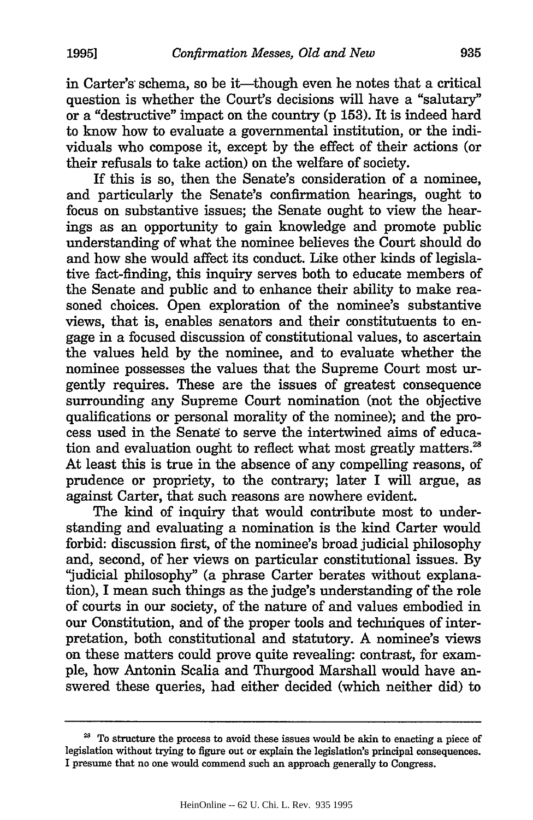in Carter's schema, so be it—though even he notes that a critical question is whether the Court's decisions will have a "salutary" or a "destructive" impact on the country (p 153). It is indeed hard to know how to evaluate a governmental institution, or the individuals who compose it, except by the effect of their actions (or their refusals to take action) on the welfare of society.

If this is so, then the Senate's consideration of a nominee, and particularly the Senate's confirmation hearings, ought to focus on substantive issues; the Senate ought to view the hearings as an opportunity to gain knowledge and promote public understanding of what the nominee believes the Court should do and how she would affect its conduct. Like other kinds of legislative fact-finding, this inquiry serves both to educate members of the Senate and public and to enhance their ability to make reasoned choices. Open exploration of the nominee's substantive views, that is, enables senators and their constitutuents to engage in a focused discussion of constitutional values, to ascertain the values held by the nominee, and to evaluate whether the nominee possesses the values that the Supreme Court most urgently requires. These are the issues of greatest consequence surrounding any Supreme Court nomination (not the objective qualifications or personal morality of the nominee); and the process used in the Senate to serve the intertwined aims of education and evaluation ought to reflect what most greatly matters.<sup>28</sup> At least this is true in the absence of any compelling reasons, of prudence or propriety, to the contrary; later I will argue, as against Carter, that such reasons are nowhere evident.

The kind of inquiry that would contribute most to understanding and evaluating a nomination is the kind Carter would forbid: discussion first, of the nominee's broad judicial philosophy and, second, of her views on particular constitutional issues. By "judicial philosophy" (a phrase Carter berates without explanation), I mean such things as the judge's understanding of the role of courts in our society, of the nature of and values embodied in our Constitution, and of the proper tools and techniques of interpretation, both constitutional and statutory. A nominee's views on these matters could prove quite revealing: contrast, for example, how Antonin Scalia and Thurgood Marshall would have answered these queries, had either decided (which neither did) to

**<sup>28</sup>**To structure the process to avoid these issues would be akin to enacting a piece of legislation without trying to figure out or explain the legislation's principal consequences. I presume that no one would commend such an approach generally to Congress.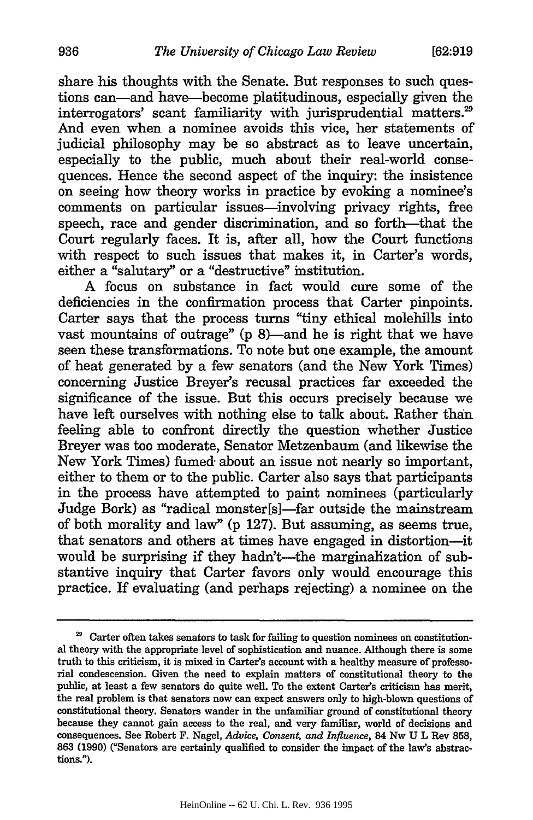share his thoughts with the Senate. But responses to such questions can-and have-become platitudinous, especially given the interrogators' scant familiarity with jurisprudential matters.<sup>29</sup> And even when a nominee avoids this vice, her statements of judicial philosophy may be so abstract as to leave uncertain, especially to the public, much about their real-world consequences. Hence the second aspect of the inquiry: the insistence on seeing how theory works in practice by evoking a nominee's comments on particular issues—involving privacy rights, free speech, race and gender discrimination, and so forth—that the Court regularly faces. It is, after all, how the Court functions with respect to such issues that makes it, in Carter's words, either a "salutary" or a "destructive" institution.

A focus on substance in fact would cure some of the deficiencies in the confirmation process that Carter pinpoints. Carter says that the process turns "tiny ethical molehills into vast mountains of outrage" (p 8)—and he is right that we have seen these transformations. To note but one example, the amount of heat generated by a few senators (and the New York Times) concerning Justice Breyer's recusal practices far exceeded the significance of the issue. But this occurs precisely because we have left ourselves with nothing else to talk about. Rather than feeling able to confront directly the question whether Justice Breyer was too moderate, Senator Metzenbaum (and likewise the New York Times) fumed about an issue not nearly so important, either to them or to the public. Carter also says that participants in the process have attempted to paint nominees (particularly Judge Bork) as "radical monster[s]—far outside the mainstream of both morality and law" (p 127). But assuming, as seems true, that senators and others at times have engaged in distortion-it would be surprising if they hadn't-the marginalization of substantive inquiry that Carter favors only would encourage this practice. If evaluating (and perhaps rejecting) a nominee on the

<sup>&</sup>lt;sup>29</sup> Carter often takes senators to task for failing to question nominees on constitutional theory with the appropriate level of sophistication and nuance. Although there is some truth to this criticism, it is mixed in Carter's account with a healthy measure of professorial condescension. Given the need to explain matters of constitutional theory to the public, at least a few senators do quite well. To the extent Carter's criticism has merit, the real problem is that senators now can expect answers only to high-blown questions of constitutional theory. Senators wander in the unfamiliar ground of constitutional theory because they cannot gain access to the real, and very familiar, world of decisions and consequences. See Robert F. Nagel, *Advice, Consent, and Influence,* 84 Nw **U** L Rev **858,** 863 (1990) ("Senators are certainly qualified to consider the impact of the law's abstractions.").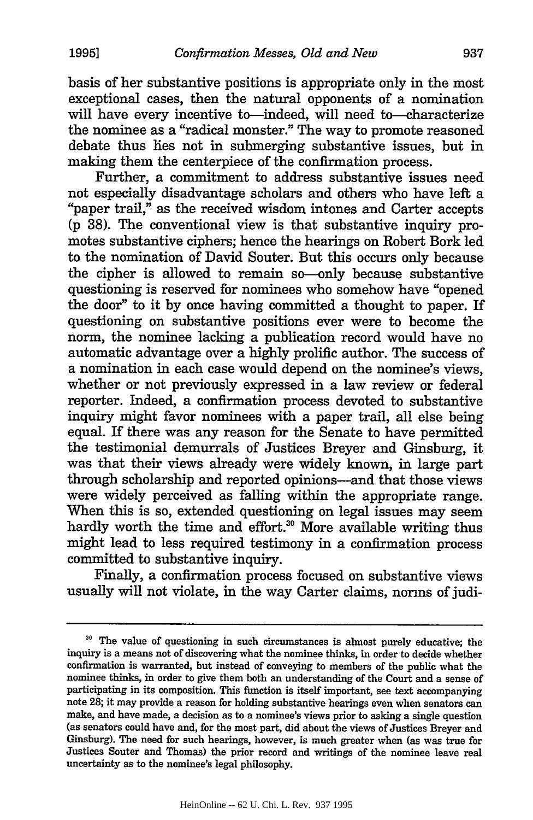basis of her substantive positions is appropriate only in the most exceptional cases, then the natural opponents of a nomination will have every incentive to-indeed, will need to-characterize the nominee as a "radical monster." The way to promote reasoned debate thus lies not in submerging substantive issues, but in making them the centerpiece of the confirmation process.

Further, a commitment to address substantive issues need not especially disadvantage scholars and others who have left a "paper trail," as the received wisdom intones and Carter accepts (p 38). The conventional view is that substantive inquiry promotes substantive ciphers; hence the hearings on Robert Bork led to the nomination of David Souter. But this occurs only because the cipher is allowed to remain so—only because substantive questioning is reserved for nominees who somehow have "opened the door" to it by once having committed a thought to paper. If questioning on substantive positions ever were to become the norm, the nominee lacking a publication record would have no automatic advantage over a highly prolific author. The success of a nomination in each case would depend on the nominee's views, whether or not previously expressed in a law review or federal reporter. Indeed, a confirmation process devoted to substantive inquiry might favor nominees with a paper trail, all else being equal. If there was any reason for the Senate to have permitted the testimonial demurrals of Justices Breyer and Ginsburg, it was that their views already were widely known, in large part through scholarship and reported opinions-and that those views were widely perceived as falling within the appropriate range. When this is so, extended questioning on legal issues may seem hardly worth the time and effort.<sup>30</sup> More available writing thus might lead to less required testimony in a confirmation process committed to substantive inquiry.

Finally, a confirmation process focused on substantive views usually will not violate, in the way Carter claims, norms of judi-

**<sup>&#</sup>x27;o** The value of questioning in such circumstances is almost purely educative; the inquiry is a means not of discovering what the nominee thinks, in order to decide whether confirmation is warranted, but instead of conveying to members of the public what the nominee thinks, in order to give them both an understanding of the Court and a sense of participating in its composition. This function is itself important, see text accompanying note 28; it may provide a reason for holding substantive hearings even when senators can make, and have made, a decision as to a nominee's views prior to asking a single question (as senators could have and, for the most part, did about the views of Justices Breyer and Ginsburg). The need for such hearings, however, is much greater when (as was true for Justices Souter and Thomas) the prior record and writings of the nominee leave real uncertainty as to the nominee's legal philosophy.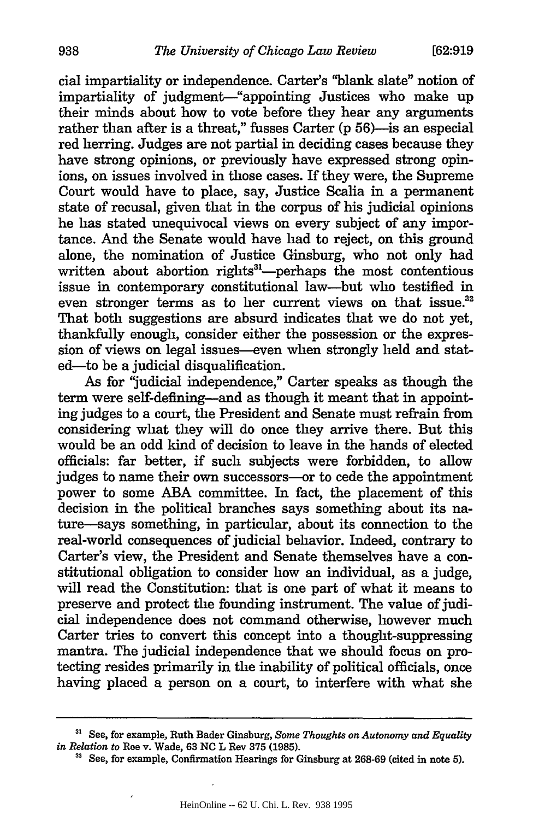cial impartiality or independence. Carter's "blank slate" notion of impartiality of judgment-"appointing Justices who make up their minds about how to vote before they hear any arguments rather than after is a threat," fusses Carter (p 56)-is an especial red herring. Judges are not partial in deciding cases because they have strong opinions, or previously have expressed strong opinions, on issues involved in those cases. If they were, the Supreme Court would have to place, say, Justice Scalia in a permanent state of recusal, given that in the corpus of his judicial opinions he has stated unequivocal views on every subject of any importance. And the Senate would have had to reject, on this ground alone, the nomination of Justice Ginsburg, who not only had written about abortion rights<sup>31</sup>—perhaps the most contentious issue in contemporary constitutional law-but who testified in even stronger terms as to her current views on that issue.<sup>32</sup> That both suggestions are absurd indicates that we do not yet, thankfully enough, consider either the possession or the expression of views on legal issues-even when strongly held and stated-to be a judicial disqualification.

As for "judicial independence," Carter speaks as though the term were self-defining-and as though it meant that in appointing judges to a court, the President and Senate must refrain from considering what they will do once they arrive there. But this would be an odd kind of decision to leave in the hands of elected officials: far better, if such subjects were forbidden, to allow judges to name their own successors-or to cede the appointment power to some ABA committee. In fact, the placement of this decision in the political branches says something about its nature-says something, in particular, about its connection to the real-world consequences of judicial behavior. Indeed, contrary to Carter's view, the President and Senate themselves have a constitutional obligation to consider how an individual, as a judge, will read the Constitution: that is one part of what it means to preserve and protect the founding instrument. The value of judicial independence does not command otherwise, however much Carter tries to convert this concept into a thought-suppressing mantra. The judicial independence that we should focus on protecting resides primarily in the inability of political officials, once having placed a person on a court, to interfere with what she

<sup>&</sup>lt;sup>31</sup> See, for example, Ruth Bader Ginsburg, *Some Thoughts on Autonomy and Equality in Relation to* Roe v. Wade, **63 NC** L Rev **375 (1985).**

**<sup>32</sup>**See, for example, Confirmation Hearings for Ginsburg at **268-69** (cited in note **5).**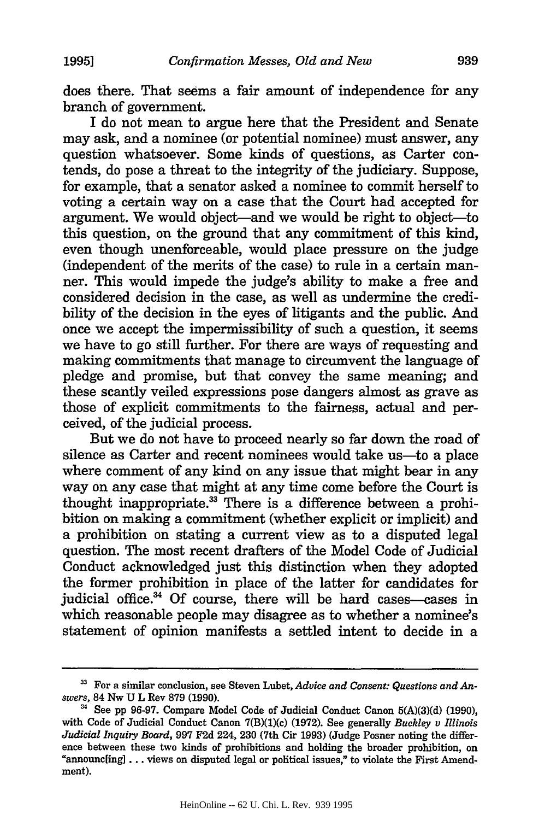does there. That seems a fair amount of independence for any branch of government.

I do not mean to argue here that the President and Senate may ask, and a nominee (or potential nominee) must answer, any question whatsoever. Some kinds of questions, as Carter contends, do pose a threat to the integrity of the judiciary. Suppose, for example, that a senator asked a nominee to commit herself to voting a certain way on a case that the Court had accepted for argument. We would object—and we would be right to object—to this question, on the ground that any commitment of this kind, even though unenforceable, would place pressure on the judge (independent of the merits of the case) to rule in a certain manner. This would impede the judge's ability to make a free and considered decision in the case, as well as undermine the credibility of the decision in the eyes of litigants and the public. And once we accept the impermissibility of such a question, it seems we have to go still further. For there are ways of requesting and making commitments that manage to circumvent the language of pledge and promise, but that convey the same meaning; and these scantly veiled expressions pose dangers almost as grave as those of explicit commitments to the fairness, actual and perceived, of the judicial process.

But we do not have to proceed nearly so far down the road of silence as Carter and recent nominees would take us-to a place where comment of any kind on any issue that might bear in any way on any case that might at any time come before the Court is thought inappropriate.<sup>33</sup> There is a difference between a prohibition on making a commitment (whether explicit or implicit) and a prohibition on stating a current view as to a disputed legal question. The most recent drafters of the Model Code of Judicial Conduct acknowledged just this distinction when they adopted the former prohibition in place of the latter for candidates for judicial office.<sup>34</sup> Of course, there will be hard cases-cases in which reasonable people may disagree as to whether a nominee's statement of opinion manifests a settled intent to decide in a

**<sup>3</sup>** For a similar conclusion, see Steven Lubet, *Advice and Consent: Questions and Answers,* 84 Nw U L Rev **879** (1990).

**<sup>4</sup>** See pp 96-97. Compare Model Code of Judicial Conduct Canon 5(A)(3)(d) (1990), with Code of Judicial Conduct Canon 7(B)(1)(c) (1972). See generally *Buckley v Illinois Judicial Inquiry Board,* 997 F2d 224, 230 (7th Cir 1993) (Judge Posner noting the difference between these two kinds of prohibitions and holding the broader prohibition, on "announc[ing] ... views on disputed legal or political issues," to violate the First Amendment).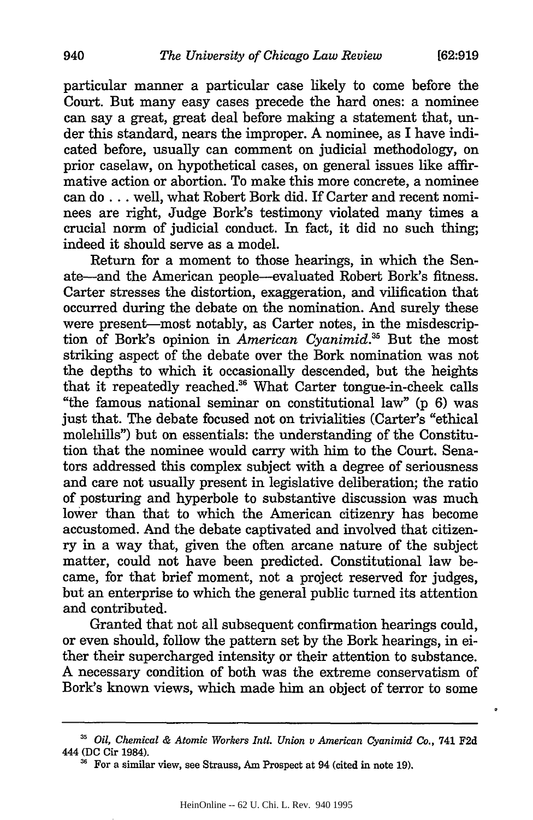particular manner a particular case likely to come before the Court. But many easy cases precede the hard ones: a nominee can say a great, great deal before making a statement that, under this standard, nears the improper. A nominee, as I have indicated before, usually can comment on judicial methodology, on prior caselaw, on hypothetical cases, on general issues like affirmative action or abortion. To make this more concrete, a nominee can do... well, what Robert Bork did. If Carter and recent nominees are right, Judge Bork's testimony violated many times a crucial norm of judicial conduct. In fact, it did no such thing; indeed it should serve as a model.

Return for a moment to those hearings, in which the Senate-and the American people-evaluated Robert Bork's fitness. Carter stresses the distortion, exaggeration, and vilification that occurred during the debate on the nomination. And surely these were present-most notably, as Carter notes, in the misdescription of Bork's opinion in *American Cyanimid*.<sup>35</sup> But the most striking aspect of the debate over the Bork nomination was not the depths to which it occasionally descended, but the heights that it repeatedly reached.<sup>36</sup> What Carter tongue-in-cheek calls "the famous national seminar on constitutional law" (p 6) was just that. The debate focused not on trivialities (Carter's "ethical molehills") but on essentials: the understanding of the Constitution that the nominee would carry with him to the Court. Senators addressed this complex subject with a degree of seriousness and care not usually present in legislative deliberation; the ratio of posturing and hyperbole to substantive discussion was much lower than that to which the American citizenry has become accustomed. And the debate captivated and involved that citizenry in a way that, given the often arcane nature of the subject matter, could not have been predicted. Constitutional law became, for that brief moment, not a project reserved for judges, but an enterprise to which the general public turned its attention and contributed.

Granted that not all subsequent confirmation hearings could, or even should, follow the pattern set by the Bork hearings, in either their supercharged intensity or their attention to substance. A necessary condition of both was the extreme conservatism of Bork's known views, which made him an object of terror to some

**<sup>3</sup>***Oil, Chemical & Atomic Workers Intl. Union v American Cyanimid Co.,* 741 **F2d** 444 **(DC** Cir 1984).

<sup>&</sup>lt;sup>36</sup> For a similar view, see Strauss, Am Prospect at 94 (cited in note 19).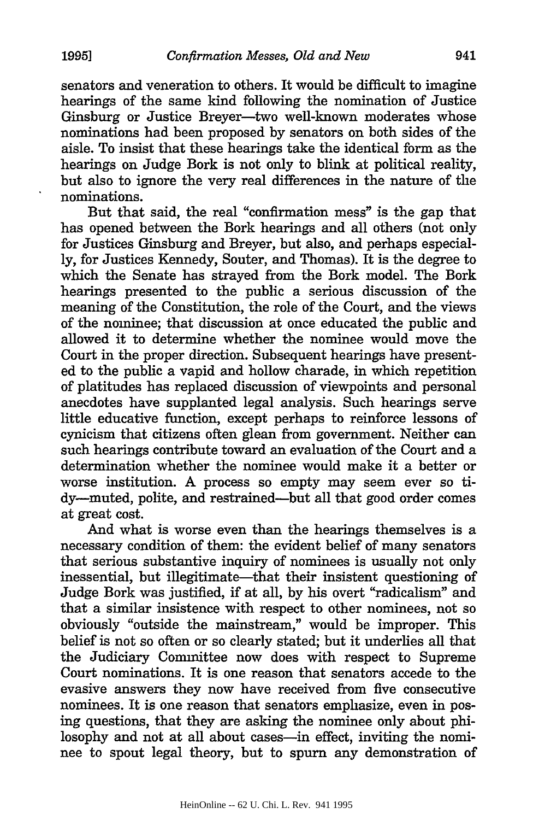senators and veneration to others. It would be difficult to imagine hearings of the same kind following the nomination of Justice Ginsburg or Justice Breyer-two well-known moderates whose nominations had been proposed by senators on both sides of the aisle. To insist that these hearings take the identical form as the hearings on Judge Bork is not only to blink at political reality, but also to ignore the very real differences in the nature of the

But that said, the real "confirmation mess" is the gap that has opened between the Bork hearings and all others (not only for Justices Ginsburg and Breyer, but also, and perhaps especially, for Justices Kennedy, Souter, and Thomas). It is the degree to which the Senate has strayed from the Bork model. The Bork hearings presented to the public a serious discussion of the meaning of the Constitution, the role of the Court, and the views of the nominee; that discussion at once educated the public and allowed it to determine whether the nominee would move the Court in the proper direction. Subsequent hearings have presented to the public a vapid and hollow charade, in which repetition of platitudes has replaced discussion of viewpoints and personal anecdotes have supplanted legal analysis. Such hearings serve little educative function, except perhaps to reinforce lessons of cynicism that citizens often glean from government. Neither can such hearings contribute toward an evaluation of the Court and a determination whether the nominee would make it a better or worse institution. A process so empty may seem ever so tidy-muted, polite, and restrained-but all that good order comes at great cost.

And what is worse even than the hearings themselves is a necessary condition of them: the evident belief of many senators that serious substantive inquiry of nominees is usually not only inessential, but illegitimate—that their insistent questioning of Judge Bork was justified, if at all, by his overt "radicalism" and that a similar insistence with respect to other nominees, not so obviously "outside the mainstream," would be improper. This belief is not so often or so clearly stated; but it underlies all that the Judiciary Committee now does with respect to Supreme Court nominations. It is one reason that senators accede to the evasive answers they now have received from five consecutive nominees. It is one reason that senators emphasize, even in posing questions, that they are asking the nominee only about philosophy and not at all about cases-in effect, inviting the nominee to spout legal theory, but to spurn any demonstration of

nominations.